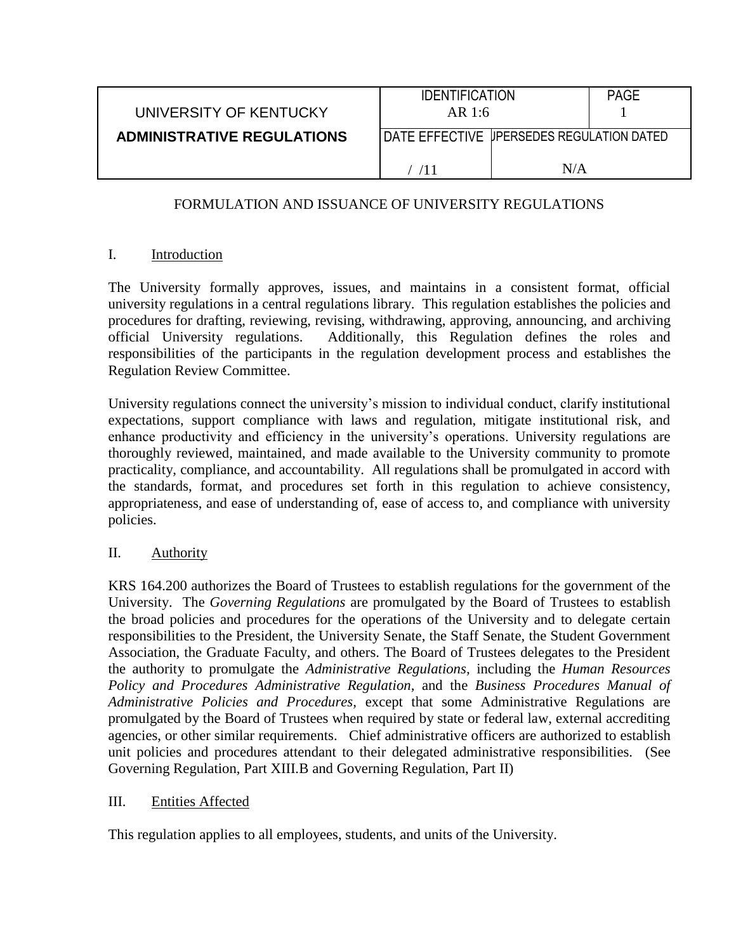|                                   | <b>IDENTIFICATION</b>                       |     | <b>PAGE</b> |
|-----------------------------------|---------------------------------------------|-----|-------------|
| UNIVERSITY OF KENTUCKY            | AR 1:6                                      |     |             |
| <b>ADMINISTRATIVE REGULATIONS</b> | I DATE EFFECTIVE UPERSEDES REGULATION DATED |     |             |
|                                   |                                             | N/A |             |

## FORMULATION AND ISSUANCE OF UNIVERSITY REGULATIONS

### I. Introduction

The University formally approves, issues, and maintains in a consistent format, official university regulations in a central regulations library. This regulation establishes the policies and procedures for drafting, reviewing, revising, withdrawing, approving, announcing, and archiving official University regulations. Additionally, this Regulation defines the roles and responsibilities of the participants in the regulation development process and establishes the Regulation Review Committee.

University regulations connect the university's mission to individual conduct, clarify institutional expectations, support compliance with laws and regulation, mitigate institutional risk, and enhance productivity and efficiency in the university's operations. University regulations are thoroughly reviewed, maintained, and made available to the University community to promote practicality, compliance, and accountability. All regulations shall be promulgated in accord with the standards, format, and procedures set forth in this regulation to achieve consistency, appropriateness, and ease of understanding of, ease of access to, and compliance with university policies.

## II. Authority

KRS 164.200 authorizes the Board of Trustees to establish regulations for the government of the University. The *Governing Regulations* are promulgated by the Board of Trustees to establish the broad policies and procedures for the operations of the University and to delegate certain responsibilities to the President, the University Senate, the Staff Senate, the Student Government Association, the Graduate Faculty, and others. The Board of Trustees delegates to the President the authority to promulgate the *Administrative Regulations,* including the *Human Resources Policy and Procedures Administrative Regulation,* and the *Business Procedures Manual of Administrative Policies and Procedures,* except that some Administrative Regulations are promulgated by the Board of Trustees when required by state or federal law, external accrediting agencies, or other similar requirements. Chief administrative officers are authorized to establish unit policies and procedures attendant to their delegated administrative responsibilities. (See Governing Regulation, Part XIII.B and Governing Regulation, Part II)

### III. Entities Affected

This regulation applies to all employees, students, and units of the University.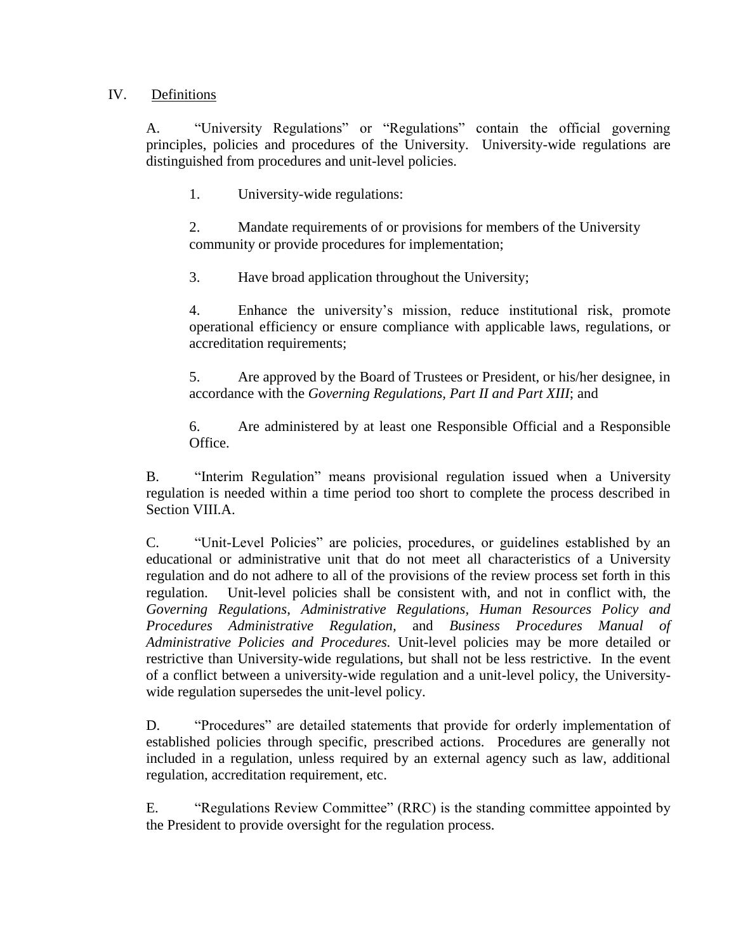### IV. Definitions

A. "University Regulations" or "Regulations" contain the official governing principles, policies and procedures of the University. University-wide regulations are distinguished from procedures and unit-level policies.

1. University-wide regulations:

2. Mandate requirements of or provisions for members of the University community or provide procedures for implementation;

3. Have broad application throughout the University;

4. Enhance the university's mission, reduce institutional risk, promote operational efficiency or ensure compliance with applicable laws, regulations, or accreditation requirements;

5. Are approved by the Board of Trustees or President, or his/her designee, in accordance with the *Governing Regulations, Part II and Part XIII*; and

6. Are administered by at least one Responsible Official and a Responsible Office.

B. "Interim Regulation" means provisional regulation issued when a University regulation is needed within a time period too short to complete the process described in Section VIII.A.

C. "Unit-Level Policies" are policies, procedures, or guidelines established by an educational or administrative unit that do not meet all characteristics of a University regulation and do not adhere to all of the provisions of the review process set forth in this regulation. Unit-level policies shall be consistent with, and not in conflict with, the *Governing Regulations*, *Administrative Regulations, Human Resources Policy and Procedures Administrative Regulation,* and *Business Procedures Manual of Administrative Policies and Procedures.* Unit-level policies may be more detailed or restrictive than University-wide regulations, but shall not be less restrictive. In the event of a conflict between a university-wide regulation and a unit-level policy, the Universitywide regulation supersedes the unit-level policy.

D. "Procedures" are detailed statements that provide for orderly implementation of established policies through specific, prescribed actions. Procedures are generally not included in a regulation, unless required by an external agency such as law, additional regulation, accreditation requirement, etc.

E. "Regulations Review Committee" (RRC) is the standing committee appointed by the President to provide oversight for the regulation process.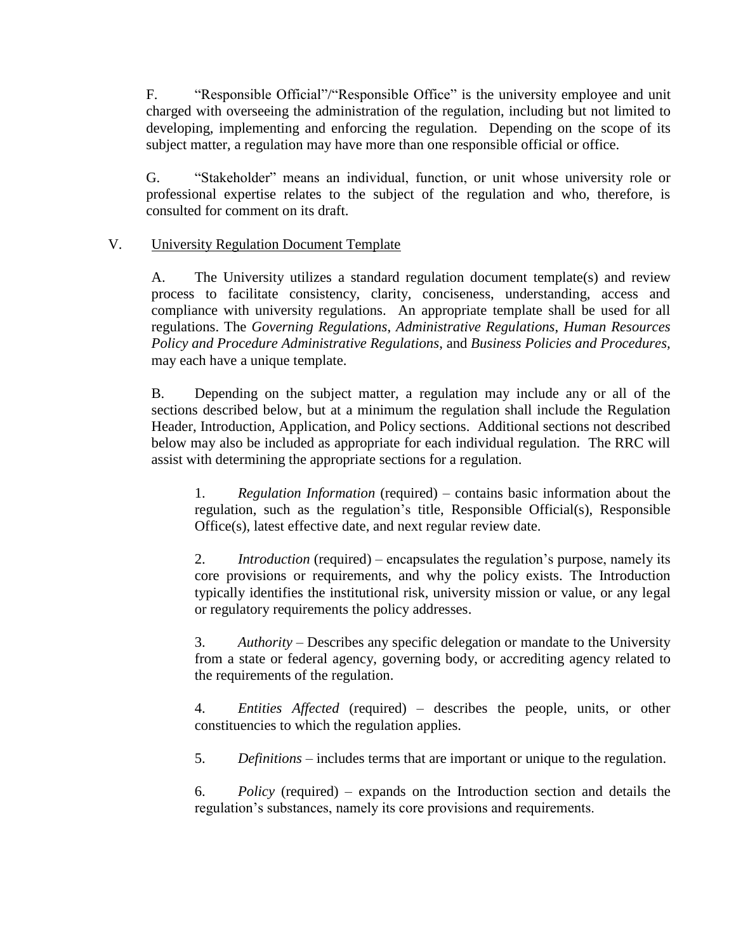F. "Responsible Official"/"Responsible Office" is the university employee and unit charged with overseeing the administration of the regulation, including but not limited to developing, implementing and enforcing the regulation. Depending on the scope of its subject matter, a regulation may have more than one responsible official or office.

G. "Stakeholder" means an individual, function, or unit whose university role or professional expertise relates to the subject of the regulation and who, therefore, is consulted for comment on its draft.

### V. University Regulation Document Template

A. The University utilizes a standard regulation document template(s) and review process to facilitate consistency, clarity, conciseness, understanding, access and compliance with university regulations. An appropriate template shall be used for all regulations. The *Governing Regulations*, *Administrative Regulations*, *Human Resources Policy and Procedure Administrative Regulations*, and *Business Policies and Procedures,*  may each have a unique template.

B. Depending on the subject matter, a regulation may include any or all of the sections described below, but at a minimum the regulation shall include the Regulation Header, Introduction, Application, and Policy sections. Additional sections not described below may also be included as appropriate for each individual regulation. The RRC will assist with determining the appropriate sections for a regulation.

1. *Regulation Information* (required) – contains basic information about the regulation, such as the regulation's title, Responsible Official(s), Responsible Office(s), latest effective date, and next regular review date.

2. *Introduction* (required) – encapsulates the regulation's purpose, namely its core provisions or requirements, and why the policy exists. The Introduction typically identifies the institutional risk, university mission or value, or any legal or regulatory requirements the policy addresses.

3. *Authority* – Describes any specific delegation or mandate to the University from a state or federal agency, governing body, or accrediting agency related to the requirements of the regulation.

4. *Entities Affected* (required) *–* describes the people, units, or other constituencies to which the regulation applies.

5. *Definitions* – includes terms that are important or unique to the regulation.

6. *Policy* (required) – expands on the Introduction section and details the regulation's substances, namely its core provisions and requirements.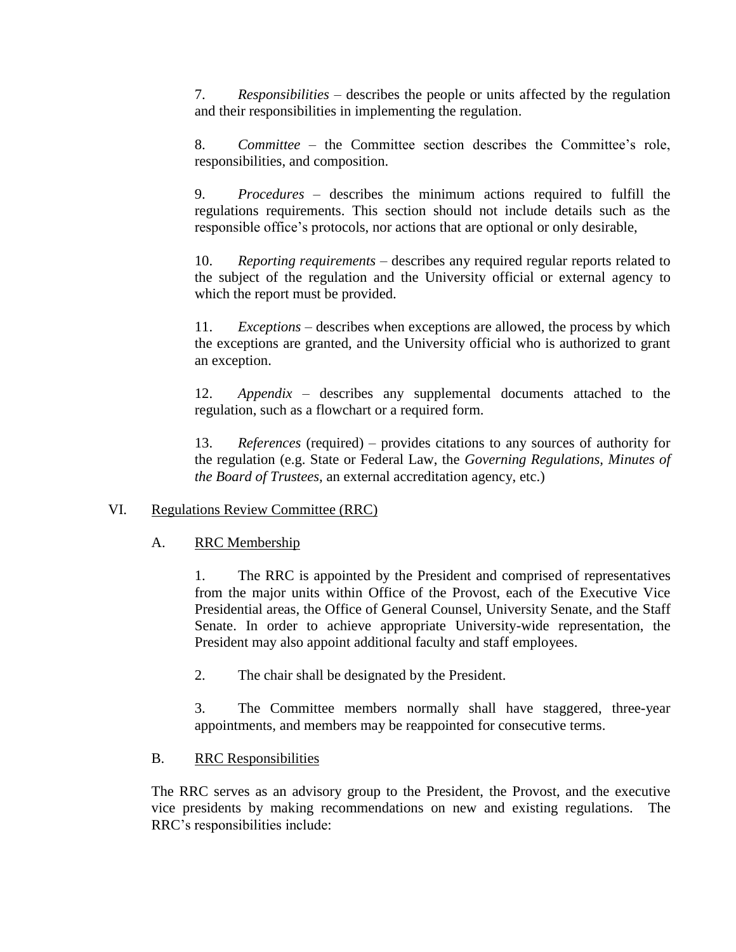7. *Responsibilities* – describes the people or units affected by the regulation and their responsibilities in implementing the regulation.

8. *Committee* – the Committee section describes the Committee's role, responsibilities, and composition.

9. *Procedures –* describes the minimum actions required to fulfill the regulations requirements. This section should not include details such as the responsible office's protocols, nor actions that are optional or only desirable,

10. *Reporting requirements –* describes any required regular reports related to the subject of the regulation and the University official or external agency to which the report must be provided.

11. *Exceptions* – describes when exceptions are allowed, the process by which the exceptions are granted, and the University official who is authorized to grant an exception.

12. *Appendix* – describes any supplemental documents attached to the regulation, such as a flowchart or a required form.

13. *References* (required) – provides citations to any sources of authority for the regulation (e.g. State or Federal Law, the *Governing Regulations, Minutes of the Board of Trustees,* an external accreditation agency, etc.)

## VI. Regulations Review Committee (RRC)

## A. RRC Membership

1. The RRC is appointed by the President and comprised of representatives from the major units within Office of the Provost, each of the Executive Vice Presidential areas, the Office of General Counsel, University Senate, and the Staff Senate. In order to achieve appropriate University-wide representation, the President may also appoint additional faculty and staff employees.

2. The chair shall be designated by the President.

3. The Committee members normally shall have staggered, three-year appointments, and members may be reappointed for consecutive terms.

## B. RRC Responsibilities

The RRC serves as an advisory group to the President, the Provost, and the executive vice presidents by making recommendations on new and existing regulations. The RRC's responsibilities include: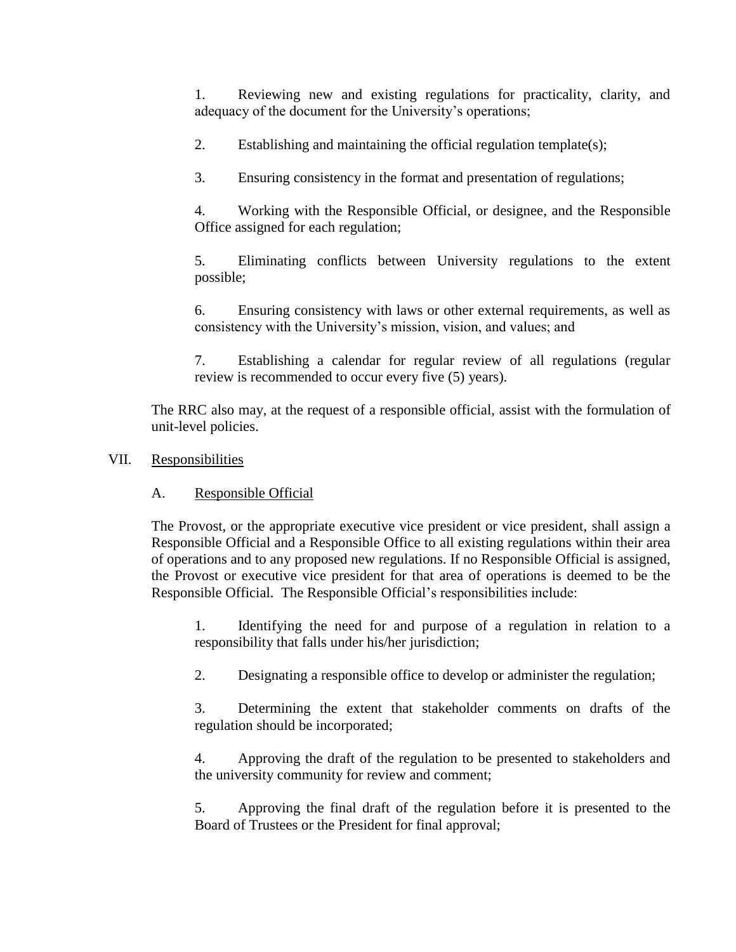1. Reviewing new and existing regulations for practicality, clarity, and adequacy of the document for the University's operations;

2. Establishing and maintaining the official regulation template(s);

3. Ensuring consistency in the format and presentation of regulations;

4. Working with the Responsible Official, or designee, and the Responsible Office assigned for each regulation;

5. Eliminating conflicts between University regulations to the extent possible;

6. Ensuring consistency with laws or other external requirements, as well as consistency with the University's mission, vision, and values; and

7. Establishing a calendar for regular review of all regulations (regular review is recommended to occur every five (5) years).

The RRC also may, at the request of a responsible official, assist with the formulation of unit-level policies.

# VII. Responsibilities

# A. Responsible Official

The Provost, or the appropriate executive vice president or vice president, shall assign a Responsible Official and a Responsible Office to all existing regulations within their area of operations and to any proposed new regulations. If no Responsible Official is assigned, the Provost or executive vice president for that area of operations is deemed to be the Responsible Official. The Responsible Official's responsibilities include:

1. Identifying the need for and purpose of a regulation in relation to a responsibility that falls under his/her jurisdiction;

2. Designating a responsible office to develop or administer the regulation;

3. Determining the extent that stakeholder comments on drafts of the regulation should be incorporated;

4. Approving the draft of the regulation to be presented to stakeholders and the university community for review and comment;

5. Approving the final draft of the regulation before it is presented to the Board of Trustees or the President for final approval;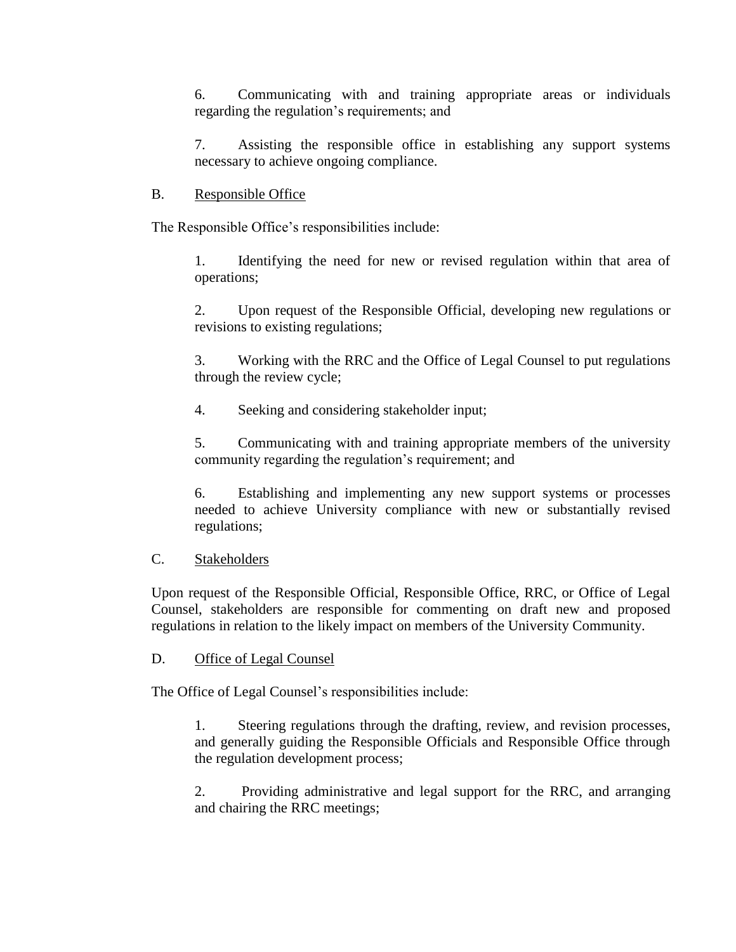6. Communicating with and training appropriate areas or individuals regarding the regulation's requirements; and

7. Assisting the responsible office in establishing any support systems necessary to achieve ongoing compliance.

## B. Responsible Office

The Responsible Office's responsibilities include:

1. Identifying the need for new or revised regulation within that area of operations;

2. Upon request of the Responsible Official, developing new regulations or revisions to existing regulations;

3. Working with the RRC and the Office of Legal Counsel to put regulations through the review cycle;

4. Seeking and considering stakeholder input;

5. Communicating with and training appropriate members of the university community regarding the regulation's requirement; and

6. Establishing and implementing any new support systems or processes needed to achieve University compliance with new or substantially revised regulations;

# C. Stakeholders

Upon request of the Responsible Official, Responsible Office, RRC, or Office of Legal Counsel, stakeholders are responsible for commenting on draft new and proposed regulations in relation to the likely impact on members of the University Community.

## D. Office of Legal Counsel

The Office of Legal Counsel's responsibilities include:

1. Steering regulations through the drafting, review, and revision processes, and generally guiding the Responsible Officials and Responsible Office through the regulation development process;

2. Providing administrative and legal support for the RRC, and arranging and chairing the RRC meetings;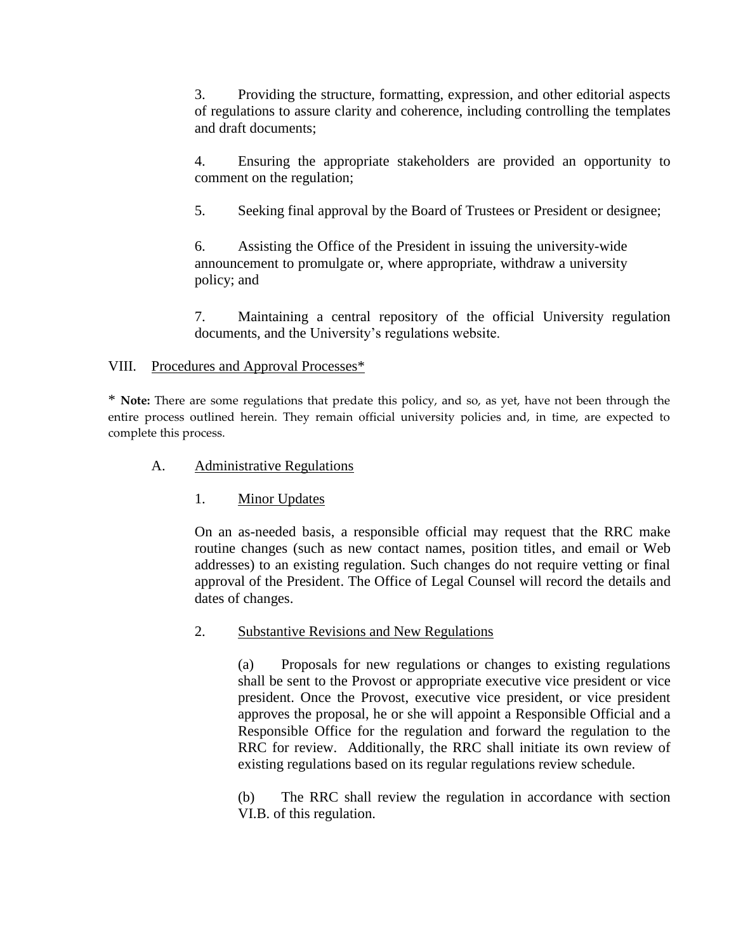3. Providing the structure, formatting, expression, and other editorial aspects of regulations to assure clarity and coherence, including controlling the templates and draft documents;

4. Ensuring the appropriate stakeholders are provided an opportunity to comment on the regulation;

5. Seeking final approval by the Board of Trustees or President or designee;

6. Assisting the Office of the President in issuing the university-wide announcement to promulgate or, where appropriate, withdraw a university policy; and

7. Maintaining a central repository of the official University regulation documents, and the University's regulations website.

## VIII. Procedures and Approval Processes\*

\* **Note:** There are some regulations that predate this policy, and so, as yet, have not been through the entire process outlined herein. They remain official university policies and, in time, are expected to complete this process.

- A. Administrative Regulations
	- 1. Minor Updates

On an as-needed basis, a responsible official may request that the RRC make routine changes (such as new contact names, position titles, and email or Web addresses) to an existing regulation. Such changes do not require vetting or final approval of the President. The Office of Legal Counsel will record the details and dates of changes.

## 2. Substantive Revisions and New Regulations

(a) Proposals for new regulations or changes to existing regulations shall be sent to the Provost or appropriate executive vice president or vice president. Once the Provost, executive vice president, or vice president approves the proposal, he or she will appoint a Responsible Official and a Responsible Office for the regulation and forward the regulation to the RRC for review. Additionally, the RRC shall initiate its own review of existing regulations based on its regular regulations review schedule.

(b) The RRC shall review the regulation in accordance with section VI.B. of this regulation.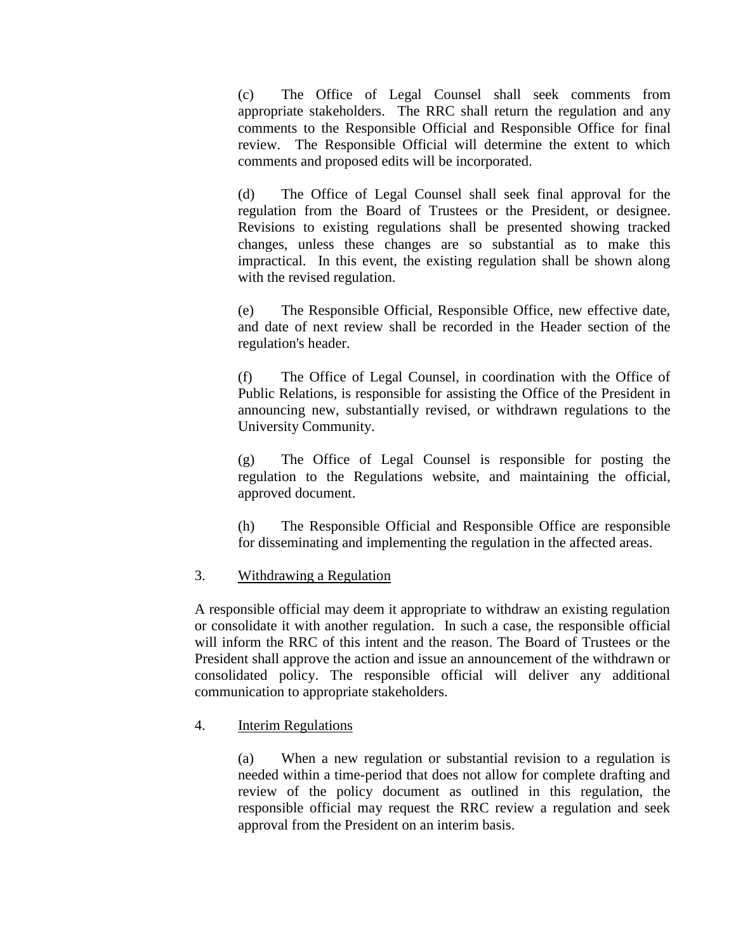(c) The Office of Legal Counsel shall seek comments from appropriate stakeholders. The RRC shall return the regulation and any comments to the Responsible Official and Responsible Office for final review. The Responsible Official will determine the extent to which comments and proposed edits will be incorporated.

(d) The Office of Legal Counsel shall seek final approval for the regulation from the Board of Trustees or the President, or designee. Revisions to existing regulations shall be presented showing tracked changes, unless these changes are so substantial as to make this impractical. In this event, the existing regulation shall be shown along with the revised regulation.

(e) The Responsible Official, Responsible Office, new effective date, and date of next review shall be recorded in the Header section of the regulation's header.

(f) The Office of Legal Counsel, in coordination with the Office of Public Relations, is responsible for assisting the Office of the President in announcing new, substantially revised, or withdrawn regulations to the University Community.

(g) The Office of Legal Counsel is responsible for posting the regulation to the Regulations website, and maintaining the official, approved document.

(h) The Responsible Official and Responsible Office are responsible for disseminating and implementing the regulation in the affected areas.

### 3. Withdrawing a Regulation

A responsible official may deem it appropriate to withdraw an existing regulation or consolidate it with another regulation. In such a case, the responsible official will inform the RRC of this intent and the reason. The Board of Trustees or the President shall approve the action and issue an announcement of the withdrawn or consolidated policy. The responsible official will deliver any additional communication to appropriate stakeholders.

### 4. Interim Regulations

(a) When a new regulation or substantial revision to a regulation is needed within a time-period that does not allow for complete drafting and review of the policy document as outlined in this regulation, the responsible official may request the RRC review a regulation and seek approval from the President on an interim basis.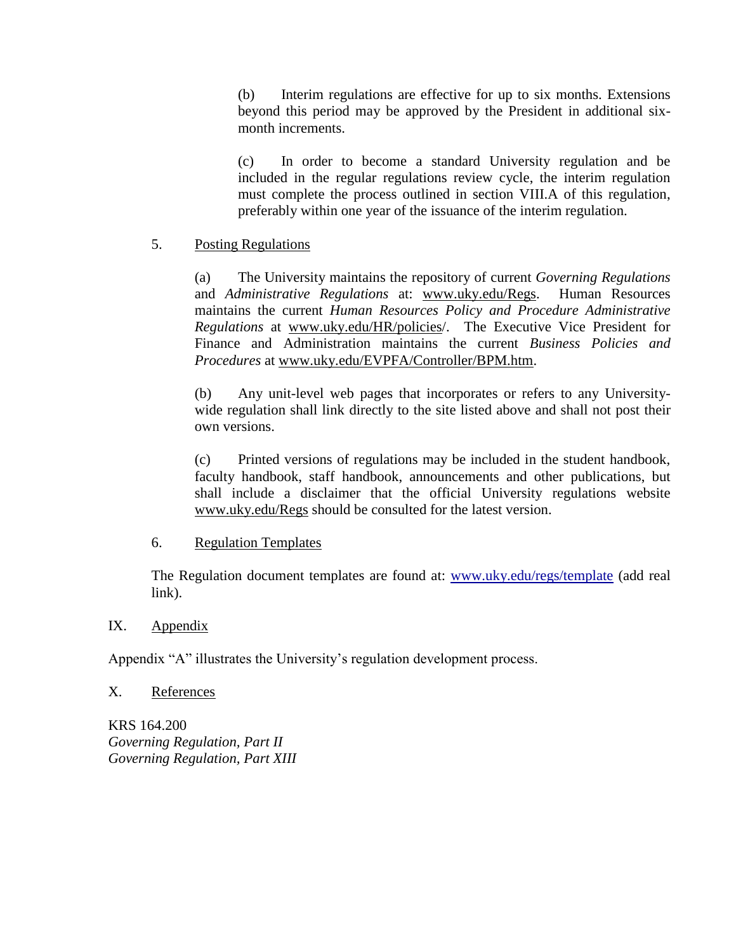(b) Interim regulations are effective for up to six months. Extensions beyond this period may be approved by the President in additional sixmonth increments.

(c) In order to become a standard University regulation and be included in the regular regulations review cycle, the interim regulation must complete the process outlined in section VIII.A of this regulation, preferably within one year of the issuance of the interim regulation.

## 5. Posting Regulations

(a) The University maintains the repository of current *Governing Regulations* and *Administrative Regulations* at: www.uky.edu/Regs. Human Resources maintains the current *Human Resources Policy and Procedure Administrative Regulations* at www.uky.edu/HR/policies/. The Executive Vice President for Finance and Administration maintains the current *Business Policies and Procedures* at www.uky.edu/EVPFA/Controller/BPM.htm.

(b) Any unit-level web pages that incorporates or refers to any Universitywide regulation shall link directly to the site listed above and shall not post their own versions.

(c) Printed versions of regulations may be included in the student handbook, faculty handbook, staff handbook, announcements and other publications, but shall include a disclaimer that the official University regulations website www.uky.edu/Regs should be consulted for the latest version.

## 6. Regulation Templates

The Regulation document templates are found at: [www.uky.edu/regs/template](http://www.uky.edu/regs/template) (add real link).

## IX. Appendix

Appendix "A" illustrates the University's regulation development process.

## X. References

KRS 164.200 *Governing Regulation, Part II Governing Regulation, Part XIII*